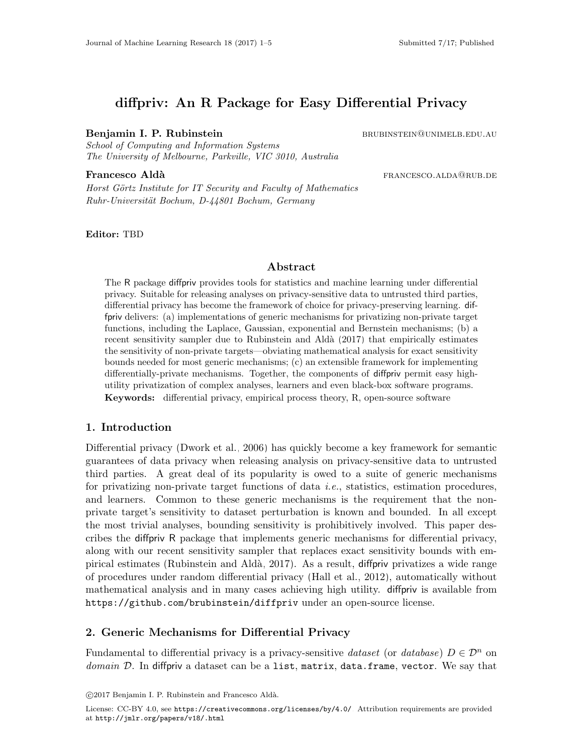# diffpriv: An R Package for Easy Differential Privacy

#### Benjamin I. P. Rubinstein bruge bruge bruge bruge bruge bruge bruge bruge bruge bruge bruge bruge bruge bruge  $B$

School of Computing and Information Systems The University of Melbourne, Parkville, VIC 3010, Australia

**Francesco Aldà francesco.** Aldà

Horst Görtz Institute for IT Security and Faculty of Mathematics Ruhr-Universität Bochum, D-44801 Bochum, Germany

Editor: TBD

## Abstract

The R package diffpriv provides tools for statistics and machine learning under differential privacy. Suitable for releasing analyses on privacy-sensitive data to untrusted third parties, differential privacy has become the framework of choice for privacy-preserving learning. diffpriv delivers: (a) implementations of generic mechanisms for privatizing non-private target functions, including the Laplace, Gaussian, exponential and Bernstein mechanisms; (b) a recent sensitivity sampler due to Rubinstein and Aldà [\(2017\)](#page-4-0) that empirically estimates the sensitivity of non-private targets—obviating mathematical analysis for exact sensitivity bounds needed for most generic mechanisms; (c) an extensible framework for implementing differentially-private mechanisms. Together, the components of diffpriv permit easy highutility privatization of complex analyses, learners and even black-box software programs. Keywords: differential privacy, empirical process theory, R, open-source software

### 1. Introduction

Differential privacy [\(Dwork et al., 2006\)](#page-4-1) has quickly become a key framework for semantic guarantees of data privacy when releasing analysis on privacy-sensitive data to untrusted third parties. A great deal of its popularity is owed to a suite of generic mechanisms for privatizing non-private target functions of data i.e., statistics, estimation procedures, and learners. Common to these generic mechanisms is the requirement that the nonprivate target's sensitivity to dataset perturbation is known and bounded. In all except the most trivial analyses, bounding sensitivity is prohibitively involved. This paper describes the diffpriv R package that implements generic mechanisms for differential privacy, along with our recent sensitivity sampler that replaces exact sensitivity bounds with empirical estimates (Rubinstein and Aldà, 2017). As a result, diffpriv privatizes a wide range of procedures under random differential privacy [\(Hall et al., 2012\)](#page-4-2), automatically without mathematical analysis and in many cases achieving high utility. diffpriv is available from https://github.com/brubinstein/diffpriv under an open-source license.

### 2. Generic Mechanisms for Differential Privacy

Fundamental to differential privacy is a privacy-sensitive dataset (or database)  $D \in \mathcal{D}^n$  on domain  $\mathcal D$ . In diffpriv a dataset can be a list, matrix, data.frame, vector. We say that

c 2017 Benjamin I. P. Rubinstein and Francesco Ald`a.

License: CC-BY 4.0, see <https://creativecommons.org/licenses/by/4.0/>. Attribution requirements are provided at <http://jmlr.org/papers/v18/.html>.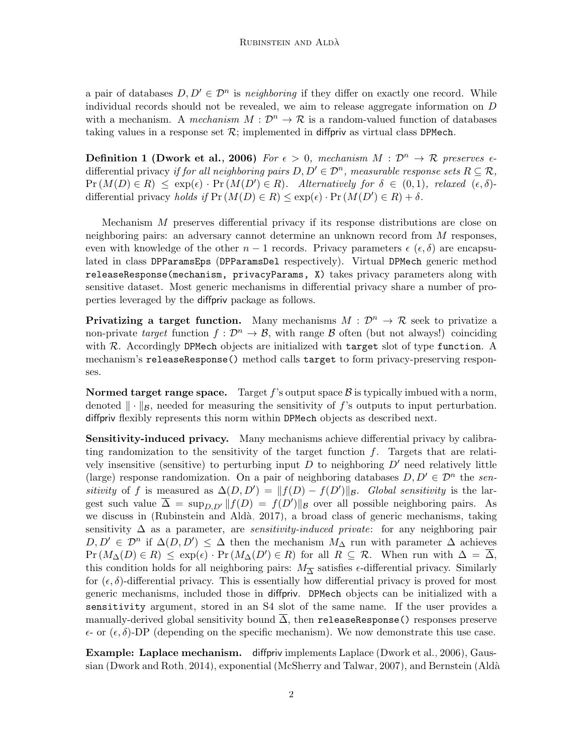a pair of databases  $D, D' \in \mathcal{D}^n$  is neighboring if they differ on exactly one record. While individual records should not be revealed, we aim to release aggregate information on D with a mechanism. A mechanism  $M : \mathcal{D}^n \to \mathcal{R}$  is a random-valued function of databases taking values in a response set  $\mathcal{R}$ ; implemented in diffpriv as virtual class DPMech.

**Definition 1 [\(Dwork et al., 2006\)](#page-4-1)** For  $\epsilon > 0$ , mechanism  $M : \mathcal{D}^n \to \mathcal{R}$  preserves  $\epsilon$ differential privacy if for all neighboring pairs  $D, D' \in \mathcal{D}^n$ , measurable response sets  $R \subseteq \mathcal{R}$ ,  $Pr(M(D) \in R) \leq exp(\epsilon) \cdot Pr(M(D') \in R)$ . Alternatively for  $\delta \in (0,1)$ , relaxed  $(\epsilon, \delta)$ differential privacy holds if  $Pr(M(D) \in R) \leq exp(\epsilon) \cdot Pr(M(D') \in R) + \delta$ .

Mechanism M preserves differential privacy if its response distributions are close on neighboring pairs: an adversary cannot determine an unknown record from M responses, even with knowledge of the other  $n-1$  records. Privacy parameters  $\epsilon(\epsilon,\delta)$  are encapsulated in class DPParamsEps (DPParamsDel respectively). Virtual DPMech generic method releaseResponse(mechanism, privacyParams, X) takes privacy parameters along with sensitive dataset. Most generic mechanisms in differential privacy share a number of properties leveraged by the diffpriv package as follows.

**Privatizing a target function.** Many mechanisms  $M : \mathcal{D}^n \to \mathcal{R}$  seek to privatize a non-private target function  $f: \mathcal{D}^n \to \mathcal{B}$ , with range  $\mathcal B$  often (but not always!) coinciding with  $R$ . Accordingly DPMech objects are initialized with target slot of type function. A mechanism's releaseResponse() method calls target to form privacy-preserving responses.

**Normed target range space.** Target  $f$ 's output space  $\mathcal{B}$  is typically imbued with a norm, denoted  $\|\cdot\|_{\mathcal{B}}$ , needed for measuring the sensitivity of f's outputs to input perturbation. diffpriv flexibly represents this norm within DPMech objects as described next.

Sensitivity-induced privacy. Many mechanisms achieve differential privacy by calibrating randomization to the sensitivity of the target function  $f$ . Targets that are relatively insensitive (sensitive) to perturbing input  $D$  to neighboring  $D'$  need relatively little (large) response randomization. On a pair of neighboring databases  $D, D' \in \mathcal{D}^n$  the sensitivity of f is measured as  $\Delta(D, D') = ||f(D) - f(D')||_B$ . Global sensitivity is the largest such value  $\overline{\Delta} = \sup_{D, D'} ||f(D) = f(D')||_{\mathcal{B}}$  over all possible neighboring pairs. As we discuss in (Rubinstein and Aldà, 2017), a broad class of generic mechanisms, taking sensitivity  $\Delta$  as a parameter, are *sensitivity-induced private*: for any neighboring pair  $D, D' \in \mathcal{D}^n$  if  $\Delta(D, D') \leq \Delta$  then the mechanism  $M_{\Delta}$  run with parameter  $\Delta$  achieves  $Pr(M_{\Delta}(D) \in R) \leq exp(\epsilon) \cdot Pr(M_{\Delta}(D') \in R)$  for all  $R \subseteq \mathcal{R}$ . When run with  $\Delta = \overline{\Delta}$ , this condition holds for all neighboring pairs:  $M_{\overline{\Delta}}$  satisfies  $\epsilon$ -differential privacy. Similarly for  $(\epsilon, \delta)$ -differential privacy. This is essentially how differential privacy is proved for most generic mechanisms, included those in diffpriv. DPMech objects can be initialized with a sensitivity argument, stored in an S4 slot of the same name. If the user provides a manually-derived global sensitivity bound  $\overline{\Delta}$ , then releaseResponse() responses preserve  $\epsilon$ - or  $(\epsilon, \delta)$ -DP (depending on the specific mechanism). We now demonstrate this use case.

Example: Laplace mechanism. diffpriv implements Laplace [\(Dwork et al., 2006\)](#page-4-1), Gaussian [\(Dwork and Roth, 2014\)](#page-4-3), exponential [\(McSherry and Talwar, 2007\)](#page-4-4), and Bernstein [\(Ald`a](#page-4-5)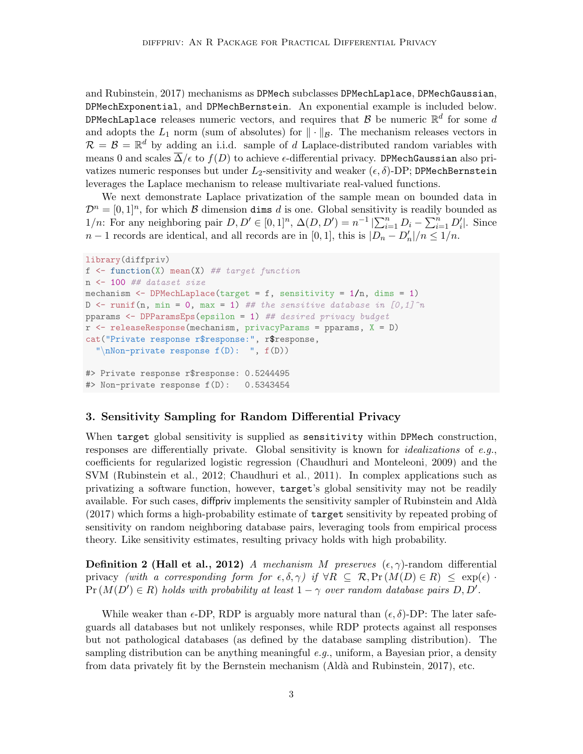[and Rubinstein, 2017\)](#page-4-5) mechanisms as DPMech subclasses DPMechLaplace, DPMechGaussian, DPMechExponential, and DPMechBernstein. An exponential example is included below. DPMechLaplace releases numeric vectors, and requires that  $\mathcal B$  be numeric  $\mathbb R^d$  for some  $d$ and adopts the  $L_1$  norm (sum of absolutes) for  $\|\cdot\|_{\mathcal{B}}$ . The mechanism releases vectors in  $\mathcal{R} = \mathcal{B} = \mathbb{R}^d$  by adding an i.i.d. sample of d Laplace-distributed random variables with means 0 and scales  $\overline{\Delta}/\epsilon$  to  $f(D)$  to achieve  $\epsilon$ -differential privacy. DPMechGaussian also privatizes numeric responses but under  $L_2$ -sensitivity and weaker  $(\epsilon, \delta)$ -DP; DPMechBernstein leverages the Laplace mechanism to release multivariate real-valued functions.

We next demonstrate Laplace privatization of the sample mean on bounded data in  $\mathcal{D}^n = [0,1]^n$ , for which  $\mathcal B$  dimension dims d is one. Global sensitivity is readily bounded as  $1/n$ : For any neighboring pair  $D, D' \in [0, 1]^n$ ,  $\Delta(D, D') = n^{-1} \left| \sum_{i=1}^n D_i - \sum_{i=1}^n D'_i \right|$ . Since  $n-1$  records are identical, and all records are in [0, 1], this is  $|D_n - D'_n|/n \leq 1/n$ .

```
library(diffpriv)
f \leftarrow function(X) mean(X) ## target function
n <- 100 ## dataset size
mechanism \leq DPMechLaplace(target = f, sensitivity = 1/n, dims = 1)
D \le runif(n, min = 0, max = 1) ## the sensitive database in [0,1]^npparams \leq DPParamsEps(epsilon = 1) ## desired privacy budget
r \leq releaseResponse(mechanism, privacyParams = pparams, X = D)
cat("Private response r$response:", r$response,
  "\nNon-private response f(D): ", f(D))
#> Private response r$response: 0.5244495
#> Non-private response f(D): 0.5343454
```
#### 3. Sensitivity Sampling for Random Differential Privacy

When target global sensitivity is supplied as sensitivity within DPMech construction, responses are differentially private. Global sensitivity is known for *idealizations* of e.g., coefficients for regularized logistic regression [\(Chaudhuri and Monteleoni, 2009\)](#page-4-6) and the SVM [\(Rubinstein et al., 2012;](#page-4-7) [Chaudhuri et al., 2011\)](#page-4-8). In complex applications such as privatizing a software function, however, target's global sensitivity may not be readily available. For such cases, diffpriv implements the sensitivity sampler of [Rubinstein and Ald`a](#page-4-0) [\(2017\)](#page-4-0) which forms a high-probability estimate of target sensitivity by repeated probing of sensitivity on random neighboring database pairs, leveraging tools from empirical process theory. Like sensitivity estimates, resulting privacy holds with high probability.

**Definition 2 [\(Hall et al., 2012\)](#page-4-2)** A mechanism M preserves  $(\epsilon, \gamma)$ -random differential privacy (with a corresponding form for  $\epsilon, \delta, \gamma$ ) if  $\forall R \subseteq \mathcal{R}, \Pr(M(D) \in R) \leq \exp(\epsilon)$ .  $Pr(M(D') \in R)$  holds with probability at least  $1 - \gamma$  over random database pairs D, D'.

While weaker than  $\epsilon$ -DP, RDP is arguably more natural than  $(\epsilon, \delta)$ -DP: The later safeguards all databases but not unlikely responses, while RDP protects against all responses but not pathological databases (as defined by the database sampling distribution). The sampling distribution can be anything meaningful  $e.g.,$  uniform, a Bayesian prior, a density from data privately fit by the Bernstein mechanism (Aldà and Rubinstein, 2017), etc.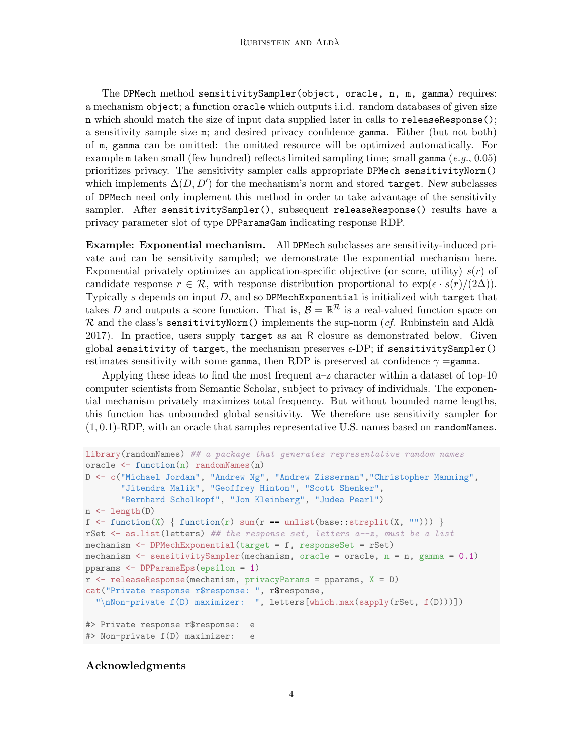The DPMech method sensitivitySampler(object, oracle, n, m, gamma) requires: a mechanism object; a function oracle which outputs i.i.d. random databases of given size n which should match the size of input data supplied later in calls to releaseResponse(); a sensitivity sample size m; and desired privacy confidence gamma. Either (but not both) of m, gamma can be omitted: the omitted resource will be optimized automatically. For example m taken small (few hundred) reflects limited sampling time; small gamma (e.g., 0.05) prioritizes privacy. The sensitivity sampler calls appropriate DPMech sensitivityNorm() which implements  $\Delta(D, D')$  for the mechanism's norm and stored target. New subclasses of DPMech need only implement this method in order to take advantage of the sensitivity sampler. After sensitivitySampler(), subsequent releaseResponse() results have a privacy parameter slot of type DPParamsGam indicating response RDP.

Example: Exponential mechanism. All DPMech subclasses are sensitivity-induced private and can be sensitivity sampled; we demonstrate the exponential mechanism here. Exponential privately optimizes an application-specific objective (or score, utility)  $s(r)$  of candidate response  $r \in \mathcal{R}$ , with response distribution proportional to  $\exp(\epsilon \cdot s(r)/(2\Delta))$ . Typically  $s$  depends on input  $D$ , and so DPMechExponential is initialized with target that takes D and outputs a score function. That is,  $\mathcal{B} = \mathbb{R}^{\mathcal{R}}$  is a real-valued function space on  $\mathcal R$  and the class's sensitivityNorm() implements the sup-norm (cf. Rubinstein and Aldà, [2017\)](#page-4-0). In practice, users supply target as an R closure as demonstrated below. Given global sensitivity of target, the mechanism preserves  $\epsilon$ -DP; if sensitivitySampler() estimates sensitivity with some gamma, then RDP is preserved at confidence  $\gamma =$ gamma.

Applying these ideas to find the most frequent a–z character within a dataset of top-10 computer scientists from Semantic Scholar, subject to privacy of individuals. The exponential mechanism privately maximizes total frequency. But without bounded name lengths, this function has unbounded global sensitivity. We therefore use sensitivity sampler for  $(1, 0.1)$ -RDP, with an oracle that samples representative U.S. names based on randomNames.

```
library(randomNames) ## a package that generates representative random names
oracle \leq function(n) randomNames(n)
D <- c("Michael Jordan", "Andrew Ng", "Andrew Zisserman","Christopher Manning",
       "Jitendra Malik", "Geoffrey Hinton", "Scott Shenker",
       "Bernhard Scholkopf", "Jon Kleinberg", "Judea Pearl")
n <- length(D)
f \leftarrow function(X) \{ function(r) sum(r == units(base::strsplit(X, ""))) \}rSet \leq as. list (letters) ## the response set, letters a-z, must be a list
mechanism <- DPMechExponential(target = f, responseSet = rSet)
mechanism \leq sensitivitySampler(mechanism, oracle = oracle, n = n, gamma = 0.1)
pparams <- DPParamsEps(epsilon = 1)
r <- releaseResponse(mechanism, privacyParams = pparams, X = D)
cat("Private response r$response: ", r$response,
  "\nNon-private f(D) maximizer: ", letters[which.max(sapply(rSet, f(D)))])
#> Private response r$response: e
#> Non-private f(D) maximizer: e
```
### Acknowledgments